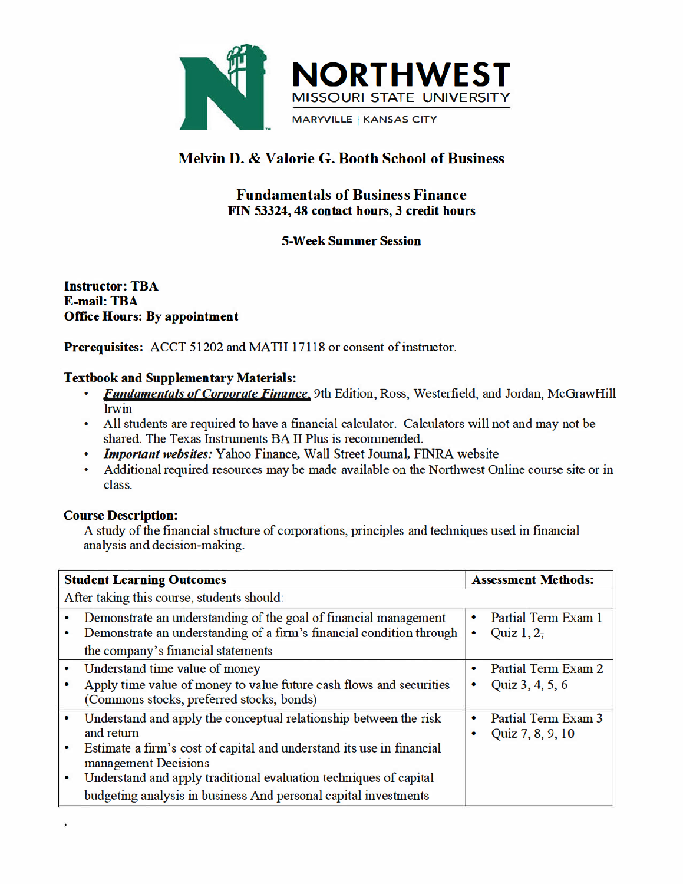

# **Melvin D. & Valorie G. Booth School of Business**

# **Fundamentals of Business Finance** FIN 53324, 48 contact hours, 3 credit hours

# **5-Week Summer Session**

**Instructor: TBA E-mail: TBA Office Hours: By appointment** 

Prerequisites: ACCT 51202 and MATH 17118 or consent of instructor.

### **Textbook and Supplementary Materials:**

- Fundamentals of Corporate Finance, 9th Edition, Ross, Westerfield, and Jordan, McGrawHill **Irwin**
- All students are required to have a financial calculator. Calculators will not and may not be shared. The Texas Instruments BA II Plus is recommended.
- Important websites: Yahoo Finance, Wall Street Journal, FINRA website
- Additional required resources may be made available on the Northwest Online course site or in class

### **Course Description:**

A study of the financial structure of corporations, principles and techniques used in financial analysis and decision-making.

|                | <b>Student Learning Outcomes</b>                                                                                                                                                                                                                                                                                         |        | <b>Assessment Methods:</b>              |  |
|----------------|--------------------------------------------------------------------------------------------------------------------------------------------------------------------------------------------------------------------------------------------------------------------------------------------------------------------------|--------|-----------------------------------------|--|
|                | After taking this course, students should:                                                                                                                                                                                                                                                                               |        |                                         |  |
| ۰              | Demonstrate an understanding of the goal of financial management<br>Demonstrate an understanding of a firm's financial condition through<br>the company's financial statements                                                                                                                                           | ٠<br>٠ | Partial Term Exam 1<br>Quiz $1, 2,$     |  |
| $\bullet$      | Understand time value of money<br>Apply time value of money to value future cash flows and securities<br>(Commons stocks, preferred stocks, bonds)                                                                                                                                                                       | ٠      | Partial Term Exam 2<br>Quiz 3, 4, 5, 6  |  |
| $\bullet$<br>۰ | Understand and apply the conceptual relationship between the risk<br>and return<br>Estimate a firm's cost of capital and understand its use in financial<br>management Decisions<br>Understand and apply traditional evaluation techniques of capital<br>budgeting analysis in business And personal capital investments | ٠      | Partial Term Exam 3<br>Quiz 7, 8, 9, 10 |  |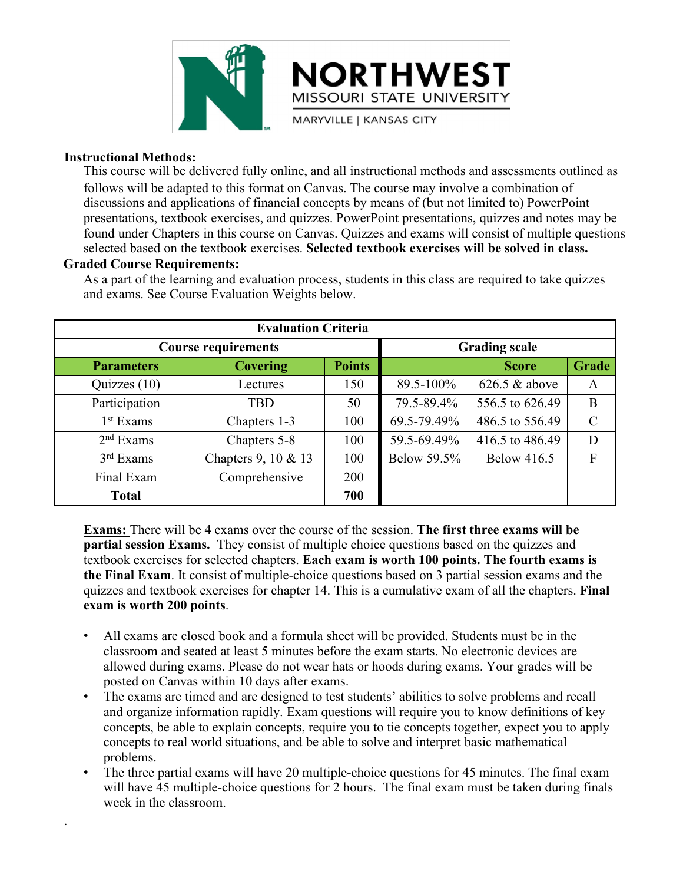

**Instructional Methods:**<br>This course will be delivered fully online, and all follows will be delivered fully online, and all follows will be adapted to this format on Canvas.<br>discussions and applications of financial conce This course will be delivered fully online, and all instructional methods and assessments outlined as follows will be adapted to this format on Canvas. The course may involve a combination of discussions and applications of financial concepts by means of (but not limited to) PowerPoint presentations, textbook exercises, and quizzes. PowerPoint presentations, quizzes and notes may be found under Chapters in this course on Canvas. Quizzes and exams will consist of multiple questions selected based on the textbook exercises. **Selected textbook exercises will be solved in class.** MISSOURI<br>
MISSOURI<br>
MARYVILLE |<br>
MARYVILLE |<br>
This course will be delivered fully online, and all ins<br>
follows will be adapted to this format on Canvas. The<br>
discussions and applications of financial concepts by<br>
presentat MISSOURI STATE UNIVERSITY<br>
MARYVILLE | KANSAS CITY<br>
THIS course will be delivered fully online, and all instructional methods and assessments outlined as<br>
follows will be adapted to this format on Canvas. The course may in MISSOURI STATE UNIVERSITY<br>
mare unit interest in the material methods and assess<br>
follows will be adapted to this format on Canvas. The course may involve a combine<br>
discussions and applications of financial concepts by me **EVALUATE:**<br> **EVALUATE:**<br> **EVALUATE:**<br> **EVALUATE:**<br> **EVALUATE:**<br> **EVALUATE:**<br> **EVALUATE:**<br> **EVALUATE:**<br> **EVALUATE:**<br> **EVALUATE:**<br> **EVALUATE:**<br> **EVALUATE:**<br> **EVALUATE:**<br> **EVALUATE:**<br> **EVALUATE:**<br> **EVALUATE:**<br> **EVALUATE:**<br> **COUTS ENDITE:**<br>
Course required and a set adapted to this format on Canvas. The course may involve a combination of<br>
textbook exercises, and quizzes. PowerPoint presentations, quizzes and notes may be<br>
chapters in this co

.

**Parameters Covering Points Score Grade** between the state of mandem converses (to this format of control is course may involve a combination of<br>is constantions of mancial concepts by means of (but not limited to ) DowerPoint<br>resentations, textbook exercises, an Exams an approach on mancial concepts by means of tout not imited to prover<br>
Presentations, textbook exercises, and quizzes. PowerPoint presentations, quizzes and ones may be<br>
bund under Chapters in this course on Canvas. 1<sup>st</sup> Exams Chapters 1-3 structure in this course on Canvas. Quizzes and exams will consist of multiple questions<br>ted based on the textbook exercises. Selected textbook exercises will be solved in class.<br>Course Requirements:<br>part of the learning a  $2<sup>nd</sup>$  Exams Chapters 5-8 course Requirements:<br>
next of the learning and evaluation process, students in this class are required to take quizzes<br>
exams. See Course Evaluation Weights below.<br>
Evaluation Criteria<br>
Course requirements<br>
Course requirem  $3<sup>rd</sup>$  Exams Chapters 9, 10 & 13 **Course Requirements:**<br>
part of the learning and evaluation process, students in this class are required to take quizzes<br>
exams. See Course Evaluation Weights below.<br> **Evaluation Criteria**<br> **Covering Points**<br> **Covering Po** Final Exam Comprehensive 200<br>
The Exam Comprehensive 200<br>
The Exam Comprehensive 200<br>
The Exam Comprehensive 200<br>
The Exam Comprehensive 200<br>
The Exam Comprehensive 200<br>
The Exam Comprehensive 200<br>
The Exam Comprehensive **Total 700 Exams:** There will be 4 exams over the course of the session. The first three exams is quizzes (10) Lectures and the course of the session. The first three exams will be apartial session. The course of the session. The fi **Parameters Covering From Carolis Score Crade**<br>
Quizzes (10) Lectures 150 89.5-100% 626.5 & above A<br>
Participation TBD 50 79.5-89.4% 556.5 to 626.49 B<br>
1<sup>st</sup> Exams Chapters 1-3 100 69.5-79.49% 486.5 to 626.49 C<br>
2<sup>nd</sup> Exam **Parameters Covering Points Score Grade**<br>
Quizzes (10) Lectures 150 89.5-100% 62.6.5 & above A<br>
Participation TBD 50 79.5-89.4% 556.5 to 626.49 B<br>
1<sup>st</sup> Exams Chapters 5-8 100 69.5-79.49% 486.5 to 556.49 C<br>  $2^{nd}$  Exams C Quizzes (10) Lectures 150 89.5-100% 626.5 & above A<br>
Participation TBD 50 79.5-89.4% 556.5 to 626.49 B<br>
1<sup>st</sup> Exams Chapters 1-3 100 69.5-79.49% 486.5 to 556.49 C<br>  $2^{nd}$  Exams Chapters 5-8 100 59.5-69.49% 416.5 to 486.49 Participation TBD 50 79.5-89.4% 556.5 to 626.49 B<br>  $I^{\text{st}}$  Exams Chapters 1-3 100 69.5-79.49% 486.5 to 556.49 C<br>  $2^{\text{nd}}$  Exams Chapters 5-8 100 59.5-69.49% 416.5 to 486.49 D<br>  $3^{\text{rd}}$  Exams Chapters 9, 10 & 13 100 Be **Exams: Exam is and Control Control Control Control Control Control Control Control Control Control Control Control Control Control Control Control Control Control Control Control Control Control Control Control Control** 

<sup>rd</sup> Exams Chapters 9, 10 & 13 100 Below 59.5% Below 416.5 F<br>
inal Exam Comprehensive 200<br> **Total 700**<br> **Instant Seate 10**<br> **Comprehensive 200**<br> **Instant Seate 10**<br> **Instant 1** consist of multiple choice questions based on Fraction Comprehensive 200<br> **Total** 700<br> **Total**<br> **Total**<br> **The first three exams will be trial session Exams.** They consist of multiple choice questions based on the quizzes and<br>
book exercises for selected chapters. Each **Exams:** There will be 4 exams over the course of the session. The first three exams will be partial session Exams. They consist of multiple choice questions based on the quizzes and textbook exercises for selected chapte **IMMEST THET WE ALT AND OR THE CONDUCT THE THE CONDUCT THE SET AND A THE SET AND NOTE THE SET AND NOTE THE SET AND NOTE THAT AND NOTE THAT EXAM IS FINITE EXAM THE STATE IN IT CONSIST OF STATE INCLUSIBE STATE INCLUSIBE STAT concepts**. There will be 4 exams over the course of the session. The first three exams will be fooled concepts and that session Exams. They consist of multiple-choice questions based on the quizzes and Frank Exam. It cons

- 
- **tial session Exams.** They consist of multiple choice questions based on the quizzes and book exercises for selected chapters. Each exam is worth 100 points. The fourth exams is Final Exam. It consist of multiple-choice q problems. **the Final Exam**. It consist of multiple-choice questions based on 3 partial session exams and the quizzes and textbook exercises for chapter 14. This is a cumulative exam of all the chapters. **Final** exam is worth 200 po zzes and textbook exercises for chapter 14. This is a cumulative exam of all the chapters. **Final n** is **worth 200 points**.<br>All exams are closed book and a formula sheet will be provided. Students must be in the classroo **m** is worth 200 points.<br>All exams are closed book and a formula sheet will classroom and seated at least 5 minutes before the e allowed during exams. Please do not wear hats or h posted on Canvas within 10 days after exam
-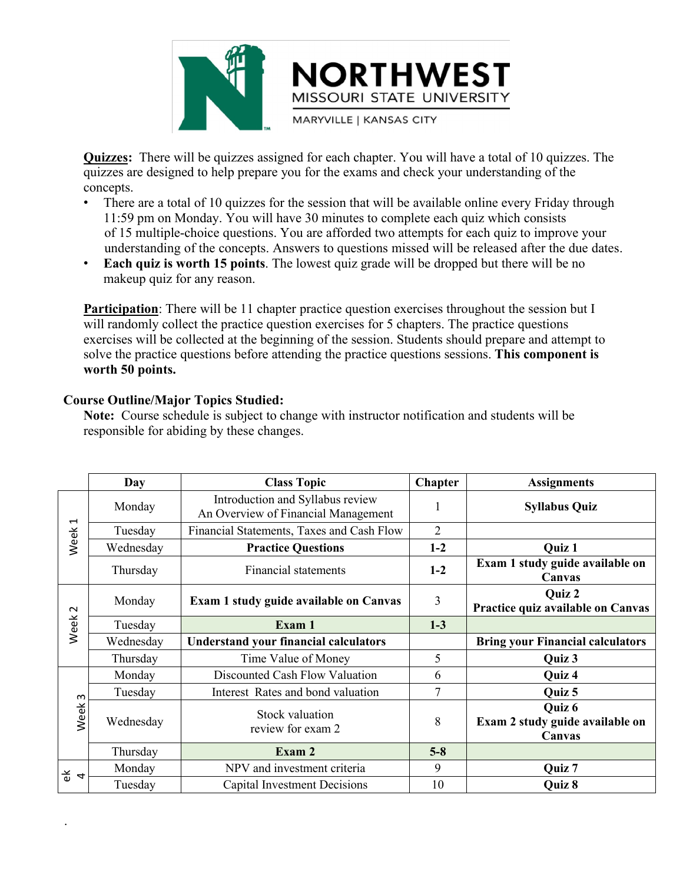

**CUIZZES:** There will be quizzes assigned for each chapter. You will have a total of 10 quizzes. The quizzes are designed to help prepare you for the exams and check your understanding of the concepts.<br>
There are a total o concepts.

- **EXECUTE ST<br>
MISSOURI STATE UNIVERSITY<br>
MISSOURI STATE UNIVERSITY<br>
Quizzes: The will be quizzes assigned for each chapter. You will have a total of 10 quizzes. The<br>
quizzes are designed to help prepare you for the exams an** • There are a total of 10 quizzes for the session that will be available online every Friday through MORTHWEST<br>
MISSOURI STATE UNIVERSITY<br>
MISSOURI STATE UNIVERSITY<br>
MARYVILLE | KANSAS CITY<br>
There are a designed to help prepare you for the exams and check your understanding of the<br>
cepts.<br>
There are a total of 10 quizzes **CORTHWEST**<br>
MISSOURI STATE UNIVERSITY<br>
THE VIOLET CONDUCT STATE UNIVERSITY<br>
THE VIOLET CONDUCT CONDUCT CONDUCTS TO THE CHOICE THE CHOICE THEORY CONDUCTS.<br>
There are a total of 10 quizzes for the exams and check your under **EXECUTE ON THUNEST MINCEST CONCEPT CONCEPT CONCEPT CONCEPTS.**<br>
AND MARYVILLE I KANSAS CITY<br>
Quizzes are designed to help prepare you for the exams and check your understanding of the<br>
concepts.<br>
• There are a total of 10 MISSOURI STATE I<br>
MISSOURI STATE I<br>
MARYVILLE | KANSAS CIT<br>
ZZES: There will be quizzes assigned for each chapter. You<br>
zzes are designed to help prepare you for the exams and chec<br>
cepts.<br>
There are a total of 10 quizzes
- 

**Participation**: There will be quizzes assigned for each chapter. You will have a total of 10 quizzes. The quizzes are designed to help prepare you for the exams and check your understanding of the concepts.<br>
• There are a **Quizzes:** There will be quizzes assigned for each chapter. You will have a total of 10 quizzes. The quizzes are designed to help prepare you for the exams and check your understanding of the concepts.<br>
There are a total **Quizzes:** There will be quizzes assigned for each chapter. You will have a total of 10 quizzes. The quizzes are designed to help prepare you for the exams and check your understanding of the concepts.<br>
• There are a tota **Quizzes:** There will be quizzes assigned for each chapter. You will have a total of 10 quizzes. The quizzes are designed to help prepare you for the exams and check your understanding of the concepts.<br>
• There are a total quizzes are designed to help prepare you for the concepts.<br>
• There are a total of 10 quizzes for the session<br>
11:59 pm on Monday. You will have 30 minu<br>
of 15 multiple-choice questions. You are affect<br>
understanding of th • There are a total of 10 quizzes for the session that will be availa<br>11:59 pm on Monday. You will have 30 minutes to complete ea<br>of 15 multiple-choice questions. You are afforded two attempts<br>understanding of the concepts 11:59 pm on Monday. You will have 30 minutes to complete each quiz which consists<br>of 15 multiple-choice questions. You are afforded two attempts for each quiz to improve<br>understanding of the concepts. Answers to questions of 15 multiple-choice questions. You are afforded two attempts for<br>
understanding of the concepts. Answers to questions missed will be<br> **Each quiz is worth 15 points**. The lowest quiz grade will be dropp<br>
makeup quiz for a

|                   | worth 50 points. | <b>Participation</b> : There will be 11 chapter practice question exercises throughout the session but I<br>will randomly collect the practice question exercises for 5 chapters. The practice questions<br>exercises will be collected at the beginning of the session. Students should prepare and attempt to<br>solve the practice questions before attending the practice questions sessions. This component is<br><b>Course Outline/Major Topics Studied:</b><br>Note: Course schedule is subject to change with instructor notification and students will be<br>responsible for abiding by these changes. |                |                                                       |
|-------------------|------------------|-----------------------------------------------------------------------------------------------------------------------------------------------------------------------------------------------------------------------------------------------------------------------------------------------------------------------------------------------------------------------------------------------------------------------------------------------------------------------------------------------------------------------------------------------------------------------------------------------------------------|----------------|-------------------------------------------------------|
|                   | <b>Day</b>       | <b>Class Topic</b>                                                                                                                                                                                                                                                                                                                                                                                                                                                                                                                                                                                              | <b>Chapter</b> | <b>Assignments</b>                                    |
|                   | Monday           | Introduction and Syllabus review<br>An Overview of Financial Management                                                                                                                                                                                                                                                                                                                                                                                                                                                                                                                                         |                | <b>Syllabus Quiz</b>                                  |
| Week <sub>1</sub> | Tuesday          | Financial Statements, Taxes and Cash Flow                                                                                                                                                                                                                                                                                                                                                                                                                                                                                                                                                                       | $\overline{2}$ |                                                       |
|                   | Wednesday        | <b>Practice Questions</b>                                                                                                                                                                                                                                                                                                                                                                                                                                                                                                                                                                                       | $1-2$          | Quiz 1                                                |
|                   | Thursday         | <b>Financial statements</b>                                                                                                                                                                                                                                                                                                                                                                                                                                                                                                                                                                                     | $1-2$          | Exam 1 study guide available on<br>Canvas             |
|                   | Monday           | Exam 1 study guide available on Canvas                                                                                                                                                                                                                                                                                                                                                                                                                                                                                                                                                                          | 3              | Quiz 2<br>Practice quiz available on Canvas           |
| Week <sub>2</sub> | Tuesday          | Exam 1                                                                                                                                                                                                                                                                                                                                                                                                                                                                                                                                                                                                          | $1-3$          |                                                       |
|                   | Wednesday        | <b>Understand your financial calculators</b>                                                                                                                                                                                                                                                                                                                                                                                                                                                                                                                                                                    |                | <b>Bring your Financial calculators</b>               |
|                   | Thursday         | Time Value of Money                                                                                                                                                                                                                                                                                                                                                                                                                                                                                                                                                                                             | 5              | Quiz 3                                                |
|                   | Monday           | Discounted Cash Flow Valuation                                                                                                                                                                                                                                                                                                                                                                                                                                                                                                                                                                                  | 6              | Quiz 4                                                |
| $\sim$            | Tuesday          | Interest Rates and bond valuation                                                                                                                                                                                                                                                                                                                                                                                                                                                                                                                                                                               | $\overline{7}$ | Quiz 5                                                |
| Week              | Wednesday        | Stock valuation<br>review for exam 2                                                                                                                                                                                                                                                                                                                                                                                                                                                                                                                                                                            | 8              | Quiz $6$<br>Exam 2 study guide available on<br>Canvas |
|                   | Thursday         | Exam 2                                                                                                                                                                                                                                                                                                                                                                                                                                                                                                                                                                                                          | $5 - 8$        |                                                       |
| $\frac{4}{9}$ 4   | Monday           | NPV and investment criteria                                                                                                                                                                                                                                                                                                                                                                                                                                                                                                                                                                                     | 9              | Quiz 7                                                |
|                   | Tuesday          | <b>Capital Investment Decisions</b>                                                                                                                                                                                                                                                                                                                                                                                                                                                                                                                                                                             | 10             | Quiz 8                                                |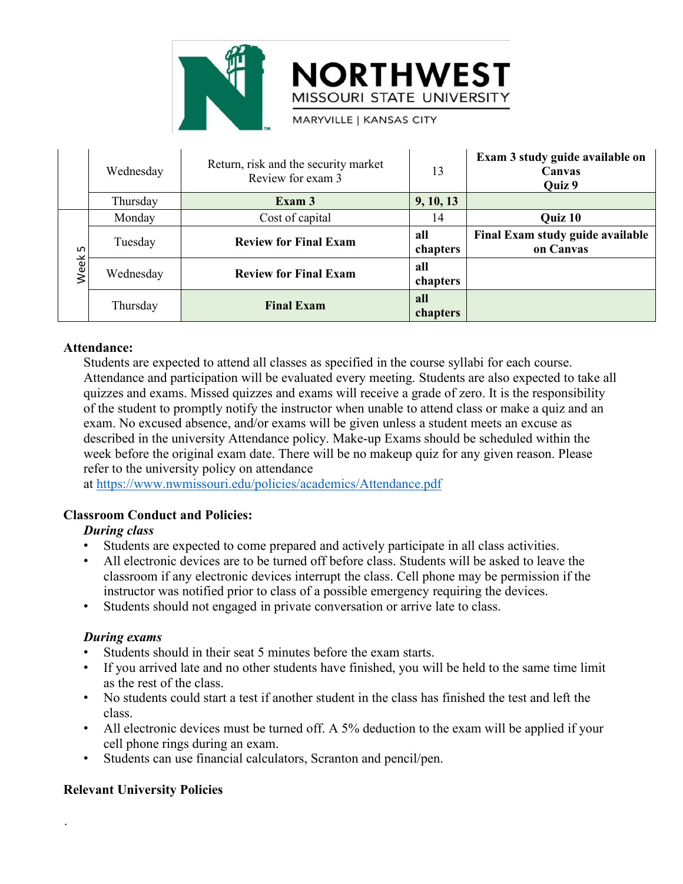

|             |             |                                              | <b>NORTHWEST</b><br>MISSOURI STATE UNIVERSITY                                                                                                                                               |                 |                                                                                                                                                                                                                                                                                                                                                                                                                                                                                                                  |
|-------------|-------------|----------------------------------------------|---------------------------------------------------------------------------------------------------------------------------------------------------------------------------------------------|-----------------|------------------------------------------------------------------------------------------------------------------------------------------------------------------------------------------------------------------------------------------------------------------------------------------------------------------------------------------------------------------------------------------------------------------------------------------------------------------------------------------------------------------|
|             |             |                                              | <b>MARYVILLE   KANSAS CITY</b>                                                                                                                                                              |                 |                                                                                                                                                                                                                                                                                                                                                                                                                                                                                                                  |
|             | Wednesday   |                                              | Return, risk and the security market<br>Review for exam 3                                                                                                                                   | 13              | Exam 3 study guide available on<br>Canvas<br>Quiz 9                                                                                                                                                                                                                                                                                                                                                                                                                                                              |
|             | Thursday    |                                              | Exam 3                                                                                                                                                                                      | 9, 10, 13       |                                                                                                                                                                                                                                                                                                                                                                                                                                                                                                                  |
|             | Monday      |                                              | Cost of capital                                                                                                                                                                             | 14              | Quiz 10                                                                                                                                                                                                                                                                                                                                                                                                                                                                                                          |
| LN<br>Week! | Tuesday     | <b>Review for Final Exam</b>                 |                                                                                                                                                                                             | all<br>chapters | Final Exam study guide available<br>on Canvas                                                                                                                                                                                                                                                                                                                                                                                                                                                                    |
|             | Wednesday   | <b>Review for Final Exam</b>                 |                                                                                                                                                                                             | all<br>chapters |                                                                                                                                                                                                                                                                                                                                                                                                                                                                                                                  |
|             | Thursday    | <b>Final Exam</b>                            |                                                                                                                                                                                             | all<br>chapters |                                                                                                                                                                                                                                                                                                                                                                                                                                                                                                                  |
|             | Attendance: | refer to the university policy on attendance | Students are expected to attend all classes as specified in the course syllabi for each course.<br>exam. No excused absence, and/or exams will be given unless a student meets an excuse as |                 | Attendance and participation will be evaluated every meeting. Students are also expected to take all<br>quizzes and exams. Missed quizzes and exams will receive a grade of zero. It is the responsibility<br>of the student to promptly notify the instructor when unable to attend class or make a quiz and an<br>described in the university Attendance policy. Make-up Exams should be scheduled within the<br>week before the original exam date. There will be no makeup quiz for any given reason. Please |

## **Attendance:**

Fuesday Review for Final Exam all Final Exam study guide available<br>
Wednesday Review for Final Exam all<br>
Thursday Review for Final Exam all chapters<br>
Thursday Final Exam all chapters<br>
Examendance:<br>
Students are expected to Tuesday<br> **Example 18 Example 19 Example 19 Example 19 Example 19 Example 19 Example 19 Example 19 Example 19 Example 1<br>
Enlargers<br>
Endance:<br>
Students are expected to attend all classes as specified in the course syllabi fo** Wednesday Review for Final Exam and the original example.<br>
Thursday Final Exam and the ourse syllabi for each course.<br>
Students are expected to attend all classes as specified in the course syllabi for each course.<br>
Attend **Example 18**<br> **Example 18**<br> **Example 18**<br> **Example 18**<br> **Example 18**<br> **Example 18**<br> **Example 18**<br> **Example 18**<br> **Example 18**<br> **Example 18**<br> **Example 18**<br> **Example 18**<br> **Example 18**<br> **Example 18**<br> **Example 18**<br> **Example 18 Classroom Conduct and Policies:**<br> **Classroom Conduct and Solution Section Actionation will be evaluated every meeting quizzes and exams. Missed quizzes and exams will receive a jot the student to promptly notify the instr Students are expected to attend all classes as sp**<br>**Students are expected to attend all classes as sp**<br>**Attendance and participation will be evaluated**<br>**quizzes and exams**. Missed quizzes and exams<br>of the student to promp **Expected to attend all classes as specified in the course yilabi for each course.**<br>Attendance and participation will be evaluated every meeting. Students are also expected to take all<br>quizzes and exams. Missed quizzes and endance and participation will be ovaluated every meeting. Students are also expected to take all<br>
rzes and exams. Missed quizzes and exams will receive a grade of zero. It is the responsibility<br>
the student to promptly no quizzes and exans. Missed quizzes and exams will receive a grade of zero. It is the responsibility<br>of the student to promptly notify the instructor when unable to attend class or make a quiz an<br>described in the university

at https://www.nwmissouri.edu/policies/academics/Attendance.pdf

- 
- described in the university Attendance policy. I<br>week before the original exam date. There will<br>refer to the university policy on attendance<br>at https://www.nwmissouri.edu/policies/acader<br>**sroom Conduct and Policies:**<br>**Duri** week before the original exam date. There will be no makeup quiz for any given reason. Please<br>
at https://www.nwmissouri.edu/policies/academics/Attendance.pdf<br> **should in the students should in Policies:**<br>
• Students are e as the rest of the class.<br>
• Students can use the class of the class. Students will be asked to leave the<br>
• Students are expected to come prepared and actively participate in all class activities.<br>
• All electronic device **During class**<br>
• Students are expected to come prepared and actively participate in all class activities.<br>
• All electronic devices must be turned off before class. Students will be asked to leave the classroom if any el • Students are expected to come prepared and actively participate in all class activities.<br>• All electronic devices are to be turned off before class. Students will be asked to leave the classes oom if any electronic devic
- 

- 
- 
- class.
- Instructor was notified prior to class of a possible em<br>
Students should not engaged in private conversation<br> **During exams**<br>
Students should in their seat 5 minutes before the exa<br>
If you arrived late and no other student
	-

.